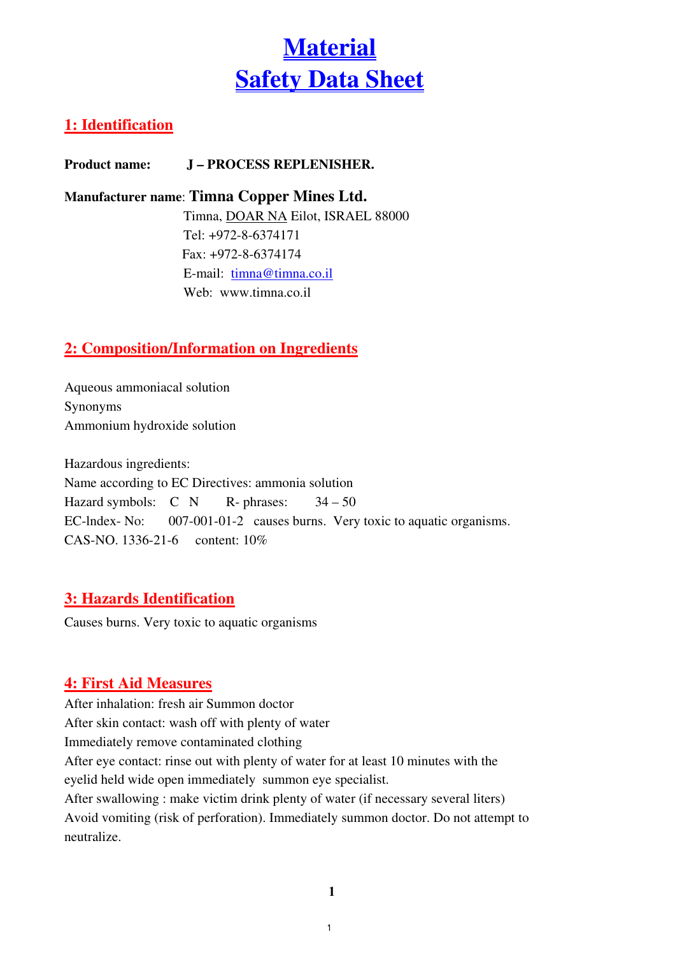# **Material** Safety Data Sheet

# 1: Identification

Product name: J – PROCESS REPLENISHER.

#### Manufacturer name: Timna Copper Mines Ltd.

 Timna, DOAR NA Eilot, ISRAEL 88000 Tel: +972-8-6374171 Fax: +972-8-6374174 E-mail: timna@timna.co.il Web: www.timna.co.il

# 2: Composition/Information on Ingredients

Aqueous ammoniacal solution Synonyms Ammonium hydroxide solution

Hazardous ingredients: Name according to EC Directives: ammonia solution Hazard symbols:  $C \ N$  R- phrases:  $34-50$ EC-lndex- No: 007-001-01-2 causes burns. Very toxic to aquatic organisms. CAS-NO. 1336-21-6 content: 10%

# 3: Hazards Identification

Causes burns. Very toxic to aquatic organisms

# 4: First Aid Measures

After inhalation: fresh air Summon doctor After skin contact: wash off with plenty of water Immediately remove contaminated clothing After eye contact: rinse out with plenty of water for at least 10 minutes with the eyelid held wide open immediately summon eye specialist. After swallowing : make victim drink plenty of water (if necessary several liters) Avoid vomiting (risk of perforation). Immediately summon doctor. Do not attempt to neutralize.

 $\mathbf{1}$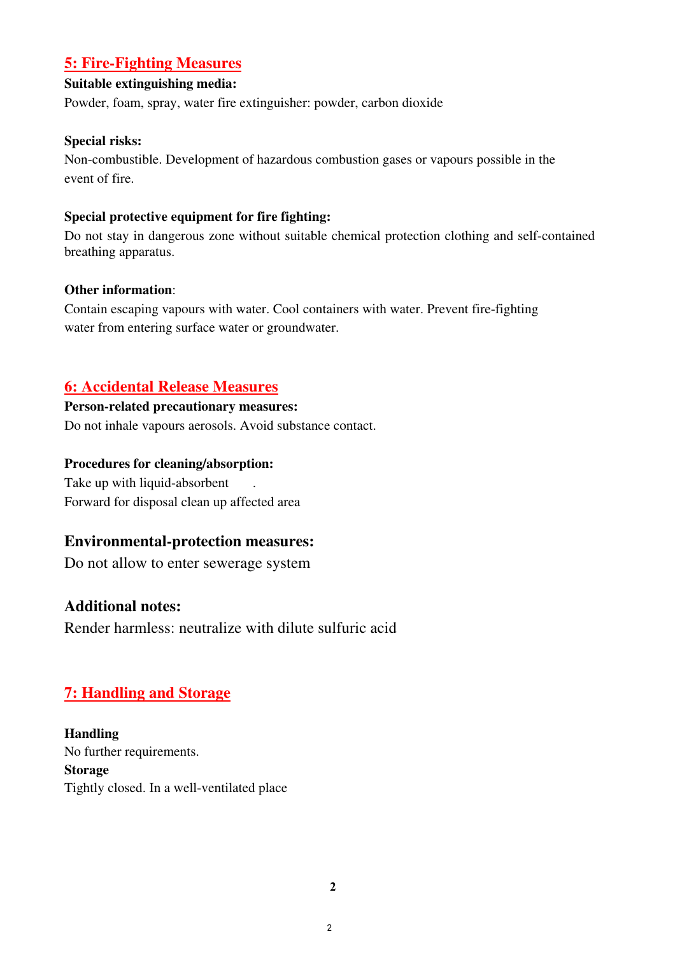#### 5: Fire-Fighting Measures

#### Suitable extinguishing media:

Powder, foam, spray, water fire extinguisher: powder, carbon dioxide

#### Special risks:

Non-combustible. Development of hazardous combustion gases or vapours possible in the event of fire.

#### Special protective equipment for fire fighting:

Do not stay in dangerous zone without suitable chemical protection clothing and self-contained breathing apparatus.

#### Other information:

Contain escaping vapours with water. Cool containers with water. Prevent fire-fighting water from entering surface water or groundwater.

## 6: Accidental Release Measures

#### Person-related precautionary measures:

Do not inhale vapours aerosols. Avoid substance contact.

#### Procedures for cleaning/absorption:

Take up with liquid-absorbent . Forward for disposal clean up affected area

#### Environmental-protection measures:

Do not allow to enter sewerage system

## Additional notes:

Render harmless: neutralize with dilute sulfuric acid

## 7: Handling and Storage

Handling No further requirements. Storage Tightly closed. In a well-ventilated place

-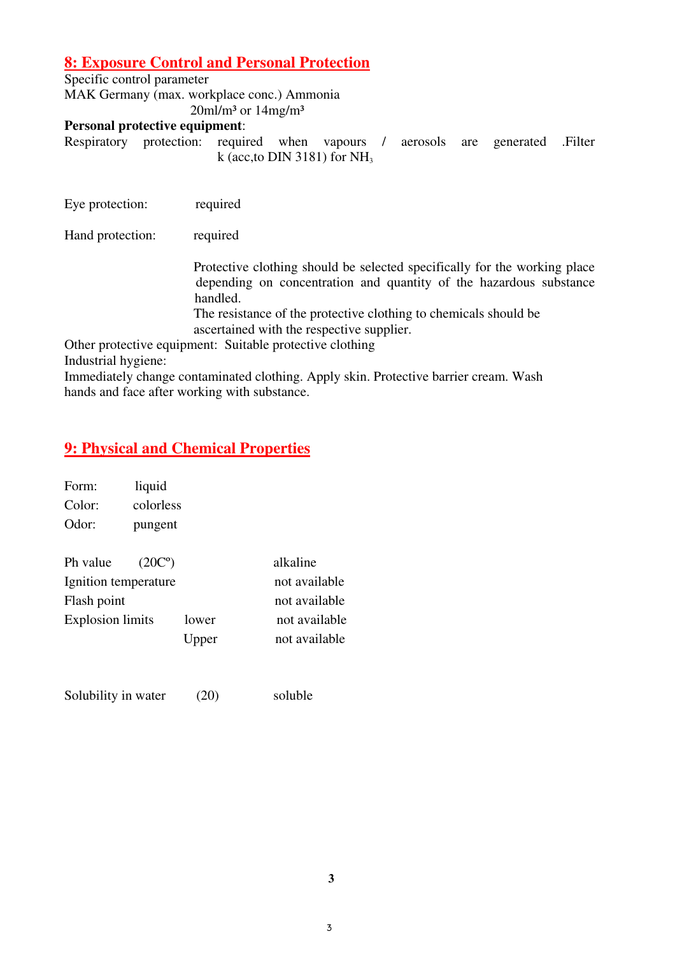#### 8: Exposure Control and Personal Protection

Specific control parameter MAK Germany (max. workplace conc.) Ammonia  $20$ ml/m<sup>3</sup> or  $14$ mg/m<sup>3</sup>

#### Personal protective equipment:

Respiratory protection: required when vapours / aerosols are generated .Filter k (acc, to DIN 3181) for  $NH<sub>3</sub>$ 

Eye protection: required

Hand protection: required

 Protective clothing should be selected specifically for the working place depending on concentration and quantity of the hazardous substance handled.

 The resistance of the protective clothing to chemicals should be ascertained with the respective supplier.

Other protective equipment: Suitable protective clothing Industrial hygiene:

Immediately change contaminated clothing. Apply skin. Protective barrier cream. Wash hands and face after working with substance.

#### 9: Physical and Chemical Properties

| Form:                   | liquid              |       |               |
|-------------------------|---------------------|-------|---------------|
| Color:                  | colorless           |       |               |
| Odor:                   | pungent             |       |               |
| Ph value                | (20C <sup>o</sup> ) |       | alkaline      |
| Ignition temperature    |                     |       | not available |
| Flash point             |                     |       | not available |
| <b>Explosion limits</b> |                     | lower | not available |
|                         |                     | Upper | not available |
|                         |                     |       |               |
|                         |                     |       |               |

Solubility in water (20) soluble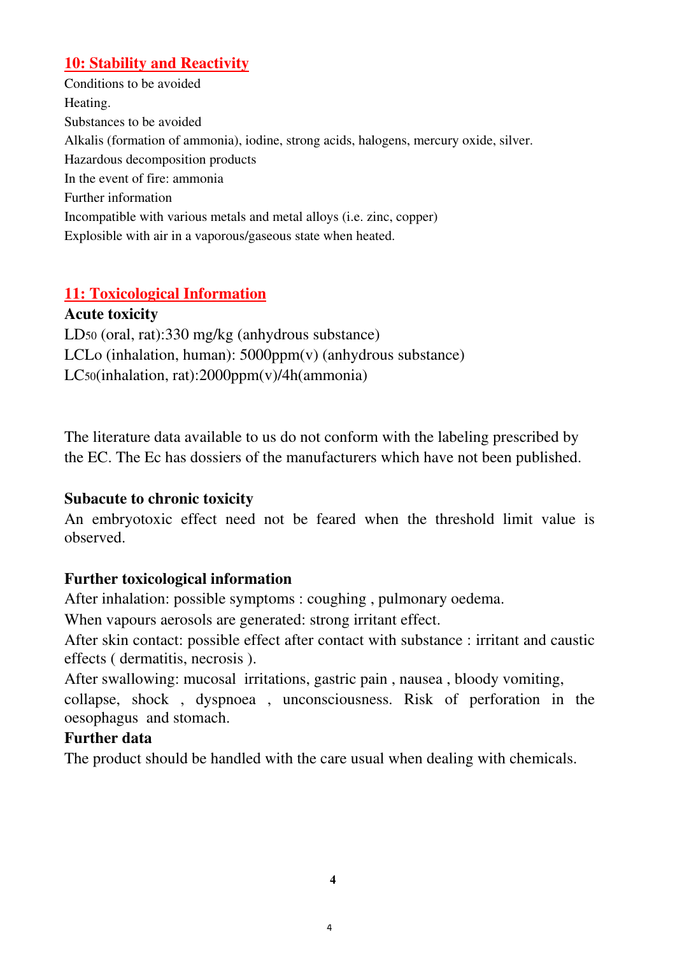## 10: Stability and Reactivity

Conditions to be avoided Heating. Substances to be avoided Alkalis (formation of ammonia), iodine, strong acids, halogens, mercury oxide, silver. Hazardous decomposition products In the event of fire: ammonia Further information Incompatible with various metals and metal alloys (i.e. zinc, copper) Explosible with air in a vaporous/gaseous state when heated.

# 11: Toxicological Information

Acute toxicity LD50 (oral, rat):330 mg/kg (anhydrous substance) LCLo (inhalation, human): 5000ppm(v) (anhydrous substance) LC50(inhalation, rat):2000ppm(v)/4h(ammonia)

The literature data available to us do not conform with the labeling prescribed by the EC. The Ec has dossiers of the manufacturers which have not been published.

## Subacute to chronic toxicity

An embryotoxic effect need not be feared when the threshold limit value is observed.

## Further toxicological information

After inhalation: possible symptoms : coughing , pulmonary oedema.

When vapours aerosols are generated: strong irritant effect.

After skin contact: possible effect after contact with substance : irritant and caustic effects ( dermatitis, necrosis ).

After swallowing: mucosal irritations, gastric pain , nausea , bloody vomiting, collapse, shock , dyspnoea , unconsciousness. Risk of perforation in the oesophagus and stomach.

## Further data

The product should be handled with the care usual when dealing with chemicals.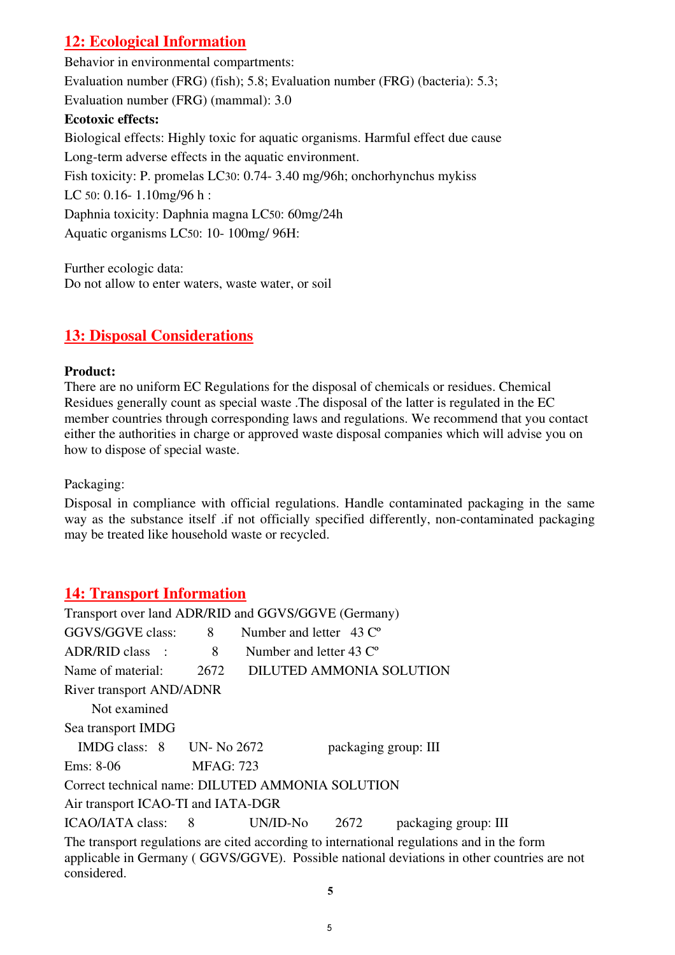# 12: Ecological Information

Behavior in environmental compartments: Evaluation number (FRG) (fish); 5.8; Evaluation number (FRG) (bacteria): 5.3; Evaluation number (FRG) (mammal): 3.0 Ecotoxic effects: Biological effects: Highly toxic for aquatic organisms. Harmful effect due cause Long-term adverse effects in the aquatic environment. Fish toxicity: P. promelas LC30: 0.74- 3.40 mg/96h; onchorhynchus mykiss LC 50: 0.16- 1.10mg/96 h: Daphnia toxicity: Daphnia magna LC50: 60mg/24h Aquatic organisms LC50: 10- 100mg/ 96H:

Further ecologic data: Do not allow to enter waters, waste water, or soil

## 13: Disposal Considerations

#### Product:

There are no uniform EC Regulations for the disposal of chemicals or residues. Chemical Residues generally count as special waste .The disposal of the latter is regulated in the EC member countries through corresponding laws and regulations. We recommend that you contact either the authorities in charge or approved waste disposal companies which will advise you on how to dispose of special waste.

Packaging:

Disposal in compliance with official regulations. Handle contaminated packaging in the same way as the substance itself .if not officially specified differently, non-contaminated packaging may be treated like household waste or recycled.

## 14: Transport Information

| Transport over land ADR/RID and GGVS/GGVE (Germany)                                                                                                                                                     |                   |                                          |                      |                      |  |  |
|---------------------------------------------------------------------------------------------------------------------------------------------------------------------------------------------------------|-------------------|------------------------------------------|----------------------|----------------------|--|--|
| GGVS/GGVE class:                                                                                                                                                                                        | 8                 | Number and letter $\,$ 43 $\,^{\circ}$   |                      |                      |  |  |
| ADR/RID class :                                                                                                                                                                                         | 8                 | Number and letter $43 \, \text{C}^\circ$ |                      |                      |  |  |
| Name of material:                                                                                                                                                                                       | 2672              | DILUTED AMMONIA SOLUTION                 |                      |                      |  |  |
| <b>River transport AND/ADNR</b>                                                                                                                                                                         |                   |                                          |                      |                      |  |  |
| Not examined                                                                                                                                                                                            |                   |                                          |                      |                      |  |  |
| Sea transport IMDG                                                                                                                                                                                      |                   |                                          |                      |                      |  |  |
| IMDG class: $8$ UN-No 2672                                                                                                                                                                              |                   |                                          | packaging group: III |                      |  |  |
| Ems: 8-06                                                                                                                                                                                               | <b>MFAG</b> : 723 |                                          |                      |                      |  |  |
| Correct technical name: DILUTED AMMONIA SOLUTION                                                                                                                                                        |                   |                                          |                      |                      |  |  |
| Air transport ICAO-TI and IATA-DGR                                                                                                                                                                      |                   |                                          |                      |                      |  |  |
| ICAO/IATA class: 8                                                                                                                                                                                      |                   | UN/ID-No                                 | 2672                 | packaging group: III |  |  |
| The transport regulations are cited according to international regulations and in the form<br>applicable in Germany (GGVS/GGVE). Possible national deviations in other countries are not<br>considered. |                   |                                          |                      |                      |  |  |

 $\overline{5}$ 

5